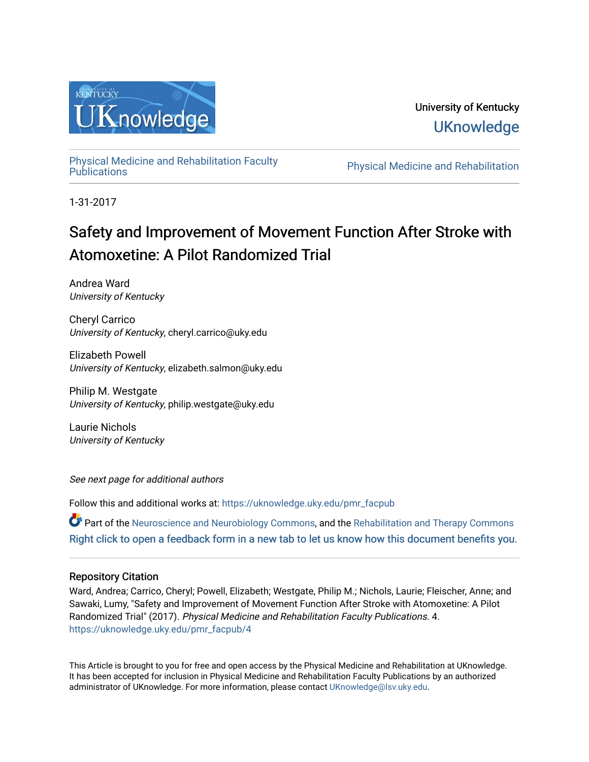

# University of Kentucky **UKnowledge**

[Physical Medicine and Rehabilitation Faculty](https://uknowledge.uky.edu/pmr_facpub) 

Physical Medicine and Rehabilitation

1-31-2017

# Safety and Improvement of Movement Function After Stroke with Atomoxetine: A Pilot Randomized Trial

Andrea Ward University of Kentucky

Cheryl Carrico University of Kentucky, cheryl.carrico@uky.edu

Elizabeth Powell University of Kentucky, elizabeth.salmon@uky.edu

Philip M. Westgate University of Kentucky, philip.westgate@uky.edu

Laurie Nichols University of Kentucky

See next page for additional authors

Follow this and additional works at: [https://uknowledge.uky.edu/pmr\\_facpub](https://uknowledge.uky.edu/pmr_facpub?utm_source=uknowledge.uky.edu%2Fpmr_facpub%2F4&utm_medium=PDF&utm_campaign=PDFCoverPages) 

Part of the [Neuroscience and Neurobiology Commons,](http://network.bepress.com/hgg/discipline/55?utm_source=uknowledge.uky.edu%2Fpmr_facpub%2F4&utm_medium=PDF&utm_campaign=PDFCoverPages) and the [Rehabilitation and Therapy Commons](http://network.bepress.com/hgg/discipline/749?utm_source=uknowledge.uky.edu%2Fpmr_facpub%2F4&utm_medium=PDF&utm_campaign=PDFCoverPages) [Right click to open a feedback form in a new tab to let us know how this document benefits you.](https://uky.az1.qualtrics.com/jfe/form/SV_9mq8fx2GnONRfz7)

#### Repository Citation

Ward, Andrea; Carrico, Cheryl; Powell, Elizabeth; Westgate, Philip M.; Nichols, Laurie; Fleischer, Anne; and Sawaki, Lumy, "Safety and Improvement of Movement Function After Stroke with Atomoxetine: A Pilot Randomized Trial" (2017). Physical Medicine and Rehabilitation Faculty Publications. 4. [https://uknowledge.uky.edu/pmr\\_facpub/4](https://uknowledge.uky.edu/pmr_facpub/4?utm_source=uknowledge.uky.edu%2Fpmr_facpub%2F4&utm_medium=PDF&utm_campaign=PDFCoverPages)

This Article is brought to you for free and open access by the Physical Medicine and Rehabilitation at UKnowledge. It has been accepted for inclusion in Physical Medicine and Rehabilitation Faculty Publications by an authorized administrator of UKnowledge. For more information, please contact [UKnowledge@lsv.uky.edu](mailto:UKnowledge@lsv.uky.edu).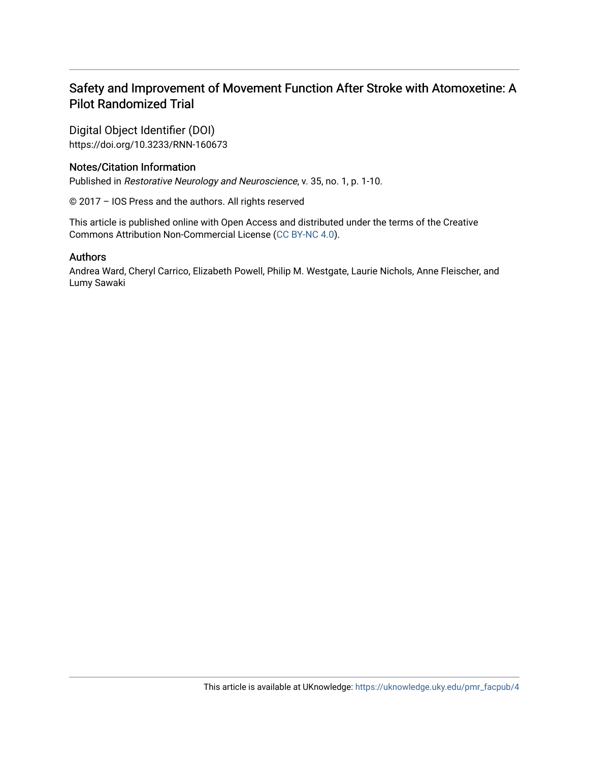## Safety and Improvement of Movement Function After Stroke with Atomoxetine: A Pilot Randomized Trial

Digital Object Identifier (DOI) https://doi.org/10.3233/RNN-160673

### Notes/Citation Information

Published in Restorative Neurology and Neuroscience, v. 35, no. 1, p. 1-10.

© 2017 – IOS Press and the authors. All rights reserved

This article is published online with Open Access and distributed under the terms of the Creative Commons Attribution Non-Commercial License ([CC BY-NC 4.0](https://creativecommons.org/licenses/by-nc/4.0/)).

#### Authors

Andrea Ward, Cheryl Carrico, Elizabeth Powell, Philip M. Westgate, Laurie Nichols, Anne Fleischer, and Lumy Sawaki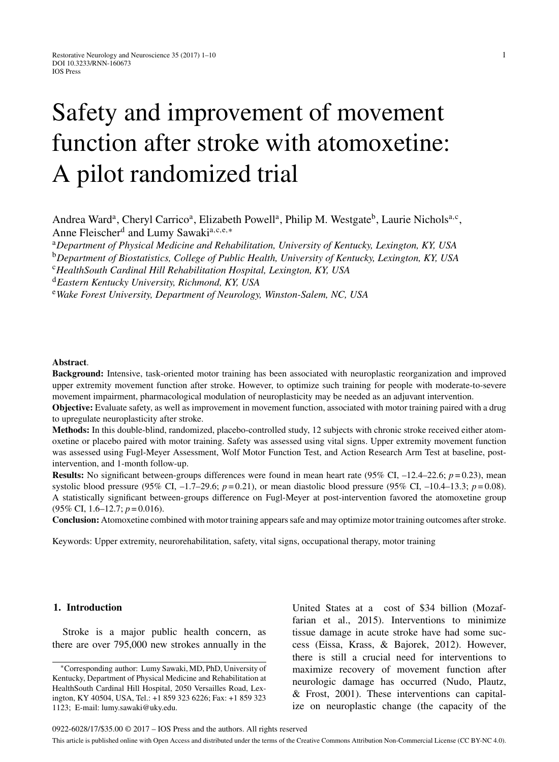# Safety and improvement of movement function after stroke with atomoxetine: A pilot randomized trial

Andrea Ward<sup>a</sup>, Cheryl Carrico<sup>a</sup>, Elizabeth Powell<sup>a</sup>, Philip M. Westgate<sup>b</sup>, Laurie Nichols<sup>a,c</sup>, Anne Fleischer<sup>d</sup> and Lumy Sawaki<sup>a, c, e,∗</sup>

<sup>a</sup>*Department of Physical Medicine and Rehabilitation, University of Kentucky, Lexington, KY, USA* <sup>b</sup>*Department of Biostatistics, College of Public Health, University of Kentucky, Lexington, KY, USA*

<sup>c</sup>*HealthSouth Cardinal Hill Rehabilitation Hospital, Lexington, KY, USA*

<sup>d</sup>*Eastern Kentucky University, Richmond, KY, USA*

<sup>e</sup>*Wake Forest University, Department of Neurology, Winston-Salem, NC, USA*

#### **Abstract**.

**Background:** Intensive, task-oriented motor training has been associated with neuroplastic reorganization and improved upper extremity movement function after stroke. However, to optimize such training for people with moderate-to-severe movement impairment, pharmacological modulation of neuroplasticity may be needed as an adjuvant intervention.

**Objective:** Evaluate safety, as well as improvement in movement function, associated with motor training paired with a drug to upregulate neuroplasticity after stroke.

**Methods:** In this double-blind, randomized, placebo-controlled study, 12 subjects with chronic stroke received either atomoxetine or placebo paired with motor training. Safety was assessed using vital signs. Upper extremity movement function was assessed using Fugl-Meyer Assessment, Wolf Motor Function Test, and Action Research Arm Test at baseline, postintervention, and 1-month follow-up.

**Results:** No significant between-groups differences were found in mean heart rate  $(95\% \text{ CI}, -12.4-22.6; p=0.23)$ , mean systolic blood pressure (95% CI, –1.7–29.6; *p* = 0.21), or mean diastolic blood pressure (95% CI, –10.4–13.3; *p* = 0.08). A statistically significant between-groups difference on Fugl-Meyer at post-intervention favored the atomoxetine group (95% CI, 1.6–12.7; *p* = 0.016).

**Conclusion:** Atomoxetine combined with motor training appears safe and may optimize motor training outcomes after stroke.

Keywords: Upper extremity, neurorehabilitation, safety, vital signs, occupational therapy, motor training

#### **1. Introduction**

Stroke is a major public health concern, as there are over 795,000 new strokes annually in the United States at a cost of \$34 billion (Mozaffarian et al., 2015). Interventions to minimize tissue damage in acute stroke have had some success (Eissa, Krass, & Bajorek, 2012). However, there is still a crucial need for interventions to maximize recovery of movement function after neurologic damage has occurred (Nudo, Plautz, & Frost, 2001). These interventions can capitalize on neuroplastic change (the capacity of the

<sup>∗</sup>Corresponding author: Lumy Sawaki, MD, PhD, University of Kentucky, Department of Physical Medicine and Rehabilitation at HealthSouth Cardinal Hill Hospital, 2050 Versailles Road, Lexington, KY 40504, USA, Tel.: +1 859 323 6226; Fax: +1 859 323 1123; E-mail: [lumy.sawaki@uky.edu.](mailto:lumy.sawaki@uky.edu)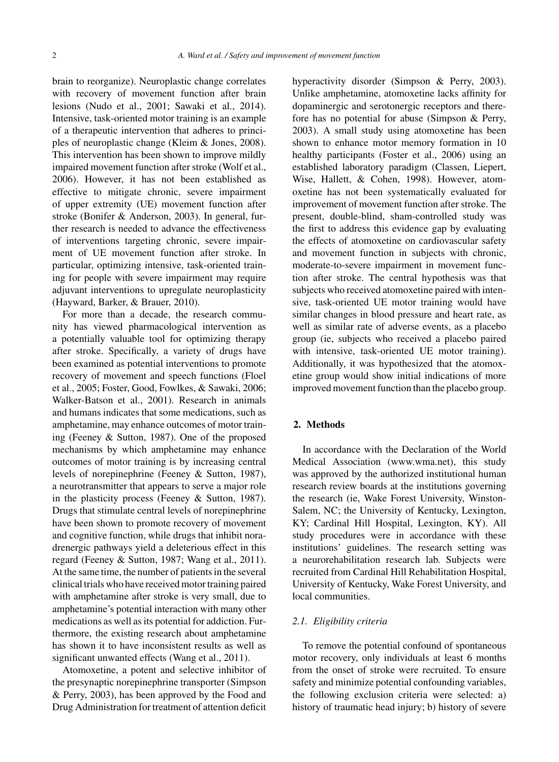brain to reorganize). Neuroplastic change correlates with recovery of movement function after brain lesions (Nudo et al., 2001; Sawaki et al., 2014). Intensive, task-oriented motor training is an example of a therapeutic intervention that adheres to principles of neuroplastic change (Kleim & Jones, 2008). This intervention has been shown to improve mildly impaired movement function after stroke (Wolf et al., 2006). However, it has not been established as effective to mitigate chronic, severe impairment of upper extremity (UE) movement function after stroke (Bonifer & Anderson, 2003). In general, further research is needed to advance the effectiveness of interventions targeting chronic, severe impairment of UE movement function after stroke. In particular, optimizing intensive, task-oriented training for people with severe impairment may require adjuvant interventions to upregulate neuroplasticity (Hayward, Barker, & Brauer, 2010).

For more than a decade, the research community has viewed pharmacological intervention as a potentially valuable tool for optimizing therapy after stroke. Specifically, a variety of drugs have been examined as potential interventions to promote recovery of movement and speech functions (Floel et al., 2005; Foster, Good, Fowlkes, & Sawaki, 2006; Walker-Batson et al., 2001). Research in animals and humans indicates that some medications, such as amphetamine, may enhance outcomes of motor training (Feeney & Sutton, 1987). One of the proposed mechanisms by which amphetamine may enhance outcomes of motor training is by increasing central levels of norepinephrine (Feeney & Sutton, 1987), a neurotransmitter that appears to serve a major role in the plasticity process (Feeney & Sutton, 1987). Drugs that stimulate central levels of norepinephrine have been shown to promote recovery of movement and cognitive function, while drugs that inhibit noradrenergic pathways yield a deleterious effect in this regard (Feeney & Sutton, 1987; Wang et al., 2011). At the same time, the number of patients in the several clinical trials who have received motor training paired with amphetamine after stroke is very small, due to amphetamine's potential interaction with many other medications as well as its potential for addiction. Furthermore, the existing research about amphetamine has shown it to have inconsistent results as well as significant unwanted effects (Wang et al., 2011).

Atomoxetine, a potent and selective inhibitor of the presynaptic norepinephrine transporter (Simpson & Perry, 2003), has been approved by the Food and Drug Administration for treatment of attention deficit

hyperactivity disorder (Simpson & Perry, 2003). Unlike amphetamine, atomoxetine lacks affinity for dopaminergic and serotonergic receptors and therefore has no potential for abuse (Simpson & Perry, 2003). A small study using atomoxetine has been shown to enhance motor memory formation in 10 healthy participants (Foster et al., 2006) using an established laboratory paradigm (Classen, Liepert, Wise, Hallett, & Cohen, 1998). However, atomoxetine has not been systematically evaluated for improvement of movement function after stroke. The present, double-blind, sham-controlled study was the first to address this evidence gap by evaluating the effects of atomoxetine on cardiovascular safety and movement function in subjects with chronic, moderate-to-severe impairment in movement function after stroke. The central hypothesis was that subjects who received atomoxetine paired with intensive, task-oriented UE motor training would have similar changes in blood pressure and heart rate, as well as similar rate of adverse events, as a placebo group (ie, subjects who received a placebo paired with intensive, task-oriented UE motor training). Additionally, it was hypothesized that the atomoxetine group would show initial indications of more improved movement function than the placebo group.

#### **2. Methods**

In accordance with the Declaration of the World Medical Association (www.wma.net), this study was approved by the authorized institutional human research review boards at the institutions governing the research (ie, Wake Forest University, Winston-Salem, NC; the University of Kentucky, Lexington, KY; Cardinal Hill Hospital, Lexington, KY). All study procedures were in accordance with these institutions' guidelines. The research setting was a neurorehabilitation research lab. Subjects were recruited from Cardinal Hill Rehabilitation Hospital, University of Kentucky, Wake Forest University, and local communities.

#### *2.1. Eligibility criteria*

To remove the potential confound of spontaneous motor recovery, only individuals at least 6 months from the onset of stroke were recruited. To ensure safety and minimize potential confounding variables, the following exclusion criteria were selected: a) history of traumatic head injury; b) history of severe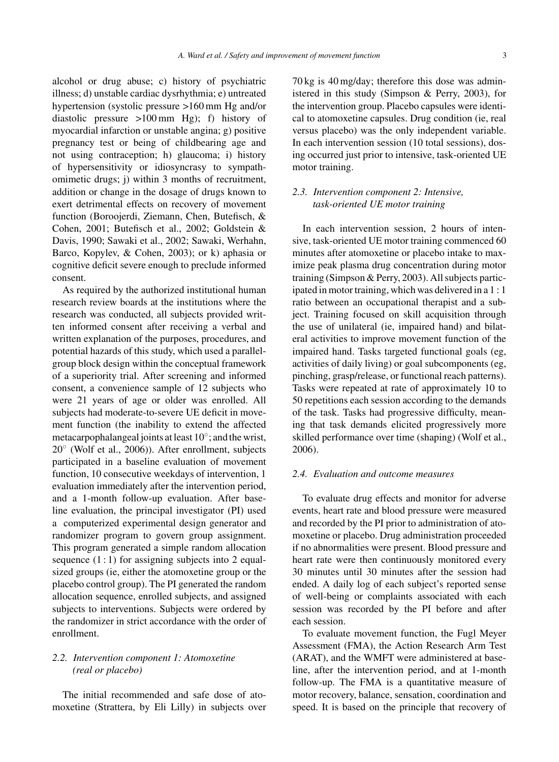alcohol or drug abuse; c) history of psychiatric illness; d) unstable cardiac dysrhythmia; e) untreated hypertension (systolic pressure >160 mm Hg and/or diastolic pressure >100 mm Hg); f) history of myocardial infarction or unstable angina; g) positive pregnancy test or being of childbearing age and not using contraception; h) glaucoma; i) history of hypersensitivity or idiosyncrasy to sympathomimetic drugs; j) within 3 months of recruitment, addition or change in the dosage of drugs known to exert detrimental effects on recovery of movement function (Boroojerdi, Ziemann, Chen, Butefisch, & Cohen, 2001; Butefisch et al., 2002; Goldstein & Davis, 1990; Sawaki et al., 2002; Sawaki, Werhahn, Barco, Kopylev, & Cohen, 2003); or k) aphasia or cognitive deficit severe enough to preclude informed consent.

As required by the authorized institutional human research review boards at the institutions where the research was conducted, all subjects provided written informed consent after receiving a verbal and written explanation of the purposes, procedures, and potential hazards of this study, which used a parallelgroup block design within the conceptual framework of a superiority trial. After screening and informed consent, a convenience sample of 12 subjects who were 21 years of age or older was enrolled. All subjects had moderate-to-severe UE deficit in movement function (the inability to extend the affected metacarpophalangeal joints at least 10◦; and the wrist, 20◦ (Wolf et al., 2006)). After enrollment, subjects participated in a baseline evaluation of movement function, 10 consecutive weekdays of intervention, 1 evaluation immediately after the intervention period, and a 1-month follow-up evaluation. After baseline evaluation, the principal investigator (PI) used a computerized experimental design generator and randomizer program to govern group assignment. This program generated a simple random allocation sequence  $(1:1)$  for assigning subjects into 2 equalsized groups (ie, either the atomoxetine group or the placebo control group). The PI generated the random allocation sequence, enrolled subjects, and assigned subjects to interventions. Subjects were ordered by the randomizer in strict accordance with the order of enrollment.

#### *2.2. Intervention component 1: Atomoxetine (real or placebo)*

The initial recommended and safe dose of atomoxetine (Strattera, by Eli Lilly) in subjects over 70 kg is 40 mg/day; therefore this dose was administered in this study (Simpson & Perry, 2003), for the intervention group. Placebo capsules were identical to atomoxetine capsules. Drug condition (ie, real versus placebo) was the only independent variable. In each intervention session (10 total sessions), dosing occurred just prior to intensive, task-oriented UE motor training.

#### *2.3. Intervention component 2: Intensive, task-oriented UE motor training*

In each intervention session, 2 hours of intensive, task-oriented UE motor training commenced 60 minutes after atomoxetine or placebo intake to maximize peak plasma drug concentration during motor training (Simpson & Perry, 2003). All subjects participated in motor training, which was delivered in a 1 : 1 ratio between an occupational therapist and a subject. Training focused on skill acquisition through the use of unilateral (ie, impaired hand) and bilateral activities to improve movement function of the impaired hand. Tasks targeted functional goals (eg, activities of daily living) or goal subcomponents (eg, pinching, grasp/release, or functional reach patterns). Tasks were repeated at rate of approximately 10 to 50 repetitions each session according to the demands of the task. Tasks had progressive difficulty, meaning that task demands elicited progressively more skilled performance over time (shaping) (Wolf et al., 2006).

#### *2.4. Evaluation and outcome measures*

To evaluate drug effects and monitor for adverse events, heart rate and blood pressure were measured and recorded by the PI prior to administration of atomoxetine or placebo. Drug administration proceeded if no abnormalities were present. Blood pressure and heart rate were then continuously monitored every 30 minutes until 30 minutes after the session had ended. A daily log of each subject's reported sense of well-being or complaints associated with each session was recorded by the PI before and after each session.

To evaluate movement function, the Fugl Meyer Assessment (FMA), the Action Research Arm Test (ARAT), and the WMFT were administered at baseline, after the intervention period, and at 1-month follow-up. The FMA is a quantitative measure of motor recovery, balance, sensation, coordination and speed. It is based on the principle that recovery of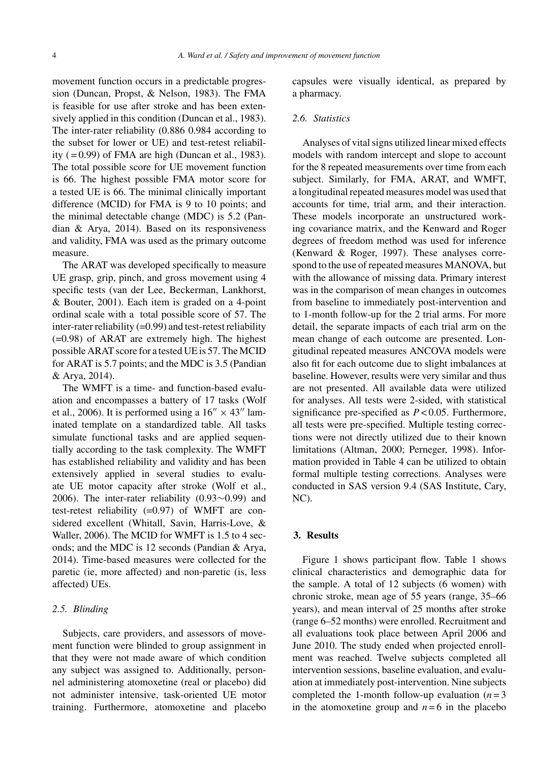movement function occurs in a predictable progression (Duncan, Propst, & Nelson, 1983). The FMA is feasible for use after stroke and has been extensively applied in this condition (Duncan et al., 1983). The inter-rater reliability (0.886 0.984 according to the subset for lower or UE) and test-retest reliability  $(=0.99)$  of FMA are high (Duncan et al., 1983). The total possible score for UE movement function is 66. The highest possible FMA motor score for a tested UE is 66. The minimal clinically important difference (MCID) for FMA is 9 to 10 points; and the minimal detectable change (MDC) is 5.2 (Pandian & Arya, 2014). Based on its responsiveness and validity, FMA was used as the primary outcome measure.

The ARAT was developed specifically to measure UE grasp, grip, pinch, and gross movement using 4 specific tests (van der Lee, Beckerman, Lankhorst, & Bouter, 2001). Each item is graded on a 4-point ordinal scale with a total possible score of 57. The inter-rater reliability  $(=0.99)$  and test-retest reliability (=0.98) of ARAT are extremely high. The highest possible ARAT score for a tested UE is 57. The MCID for ARAT is 5.7 points; and the MDC is 3.5 (Pandian & Arya, 2014).

The WMFT is a time- and function-based evaluation and encompasses a battery of 17 tasks (Wolf et al., 2006). It is performed using a  $16'' \times 43''$  laminated template on a standardized table. All tasks simulate functional tasks and are applied sequentially according to the task complexity. The WMFT has established reliability and validity and has been extensively applied in several studies to evaluate UE motor capacity after stroke (Wolf et al., 2006). The inter-rater reliability (0.93∼0.99) and test-retest reliability  $(=0.97)$  of WMFT are considered excellent (Whitall, Savin, Harris-Love, & Waller, 2006). The MCID for WMFT is 1.5 to 4 seconds; and the MDC is 12 seconds (Pandian & Arya, 2014). Time-based measures were collected for the paretic (ie, more affected) and non-paretic (is, less affected) UEs.

#### *2.5. Blinding*

Subjects, care providers, and assessors of movement function were blinded to group assignment in that they were not made aware of which condition any subject was assigned to. Additionally, personnel administering atomoxetine (real or placebo) did not administer intensive, task-oriented UE motor training. Furthermore, atomoxetine and placebo

capsules were visually identical, as prepared by a pharmacy.

#### *2.6. Statistics*

Analyses of vital signs utilized linear mixed effects models with random intercept and slope to account for the 8 repeated measurements over time from each subject. Similarly, for FMA, ARAT, and WMFT, a longitudinal repeated measures model was used that accounts for time, trial arm, and their interaction. These models incorporate an unstructured working covariance matrix, and the Kenward and Roger degrees of freedom method was used for inference (Kenward & Roger, 1997). These analyses correspond to the use of repeated measures MANOVA, but with the allowance of missing data. Primary interest was in the comparison of mean changes in outcomes from baseline to immediately post-intervention and to 1-month follow-up for the 2 trial arms. For more detail, the separate impacts of each trial arm on the mean change of each outcome are presented. Longitudinal repeated measures ANCOVA models were also fit for each outcome due to slight imbalances at baseline. However, results were very similar and thus are not presented. All available data were utilized for analyses. All tests were 2-sided, with statistical significance pre-specified as *P* < 0.05. Furthermore, all tests were pre-specified. Multiple testing corrections were not directly utilized due to their known limitations (Altman, 2000; Perneger, 1998). Information provided in Table 4 can be utilized to obtain formal multiple testing corrections. Analyses were conducted in SAS version 9.4 (SAS Institute, Cary, NC).

#### **3. Results**

Figure 1 shows participant flow. Table 1 shows clinical characteristics and demographic data for the sample. A total of 12 subjects (6 women) with chronic stroke, mean age of 55 years (range, 35–66 years), and mean interval of 25 months after stroke (range 6–52 months) were enrolled. Recruitment and all evaluations took place between April 2006 and June 2010. The study ended when projected enrollment was reached. Twelve subjects completed all intervention sessions, baseline evaluation, and evaluation at immediately post-intervention. Nine subjects completed the 1-month follow-up evaluation  $(n=3)$ in the atomoxetine group and  $n = 6$  in the placebo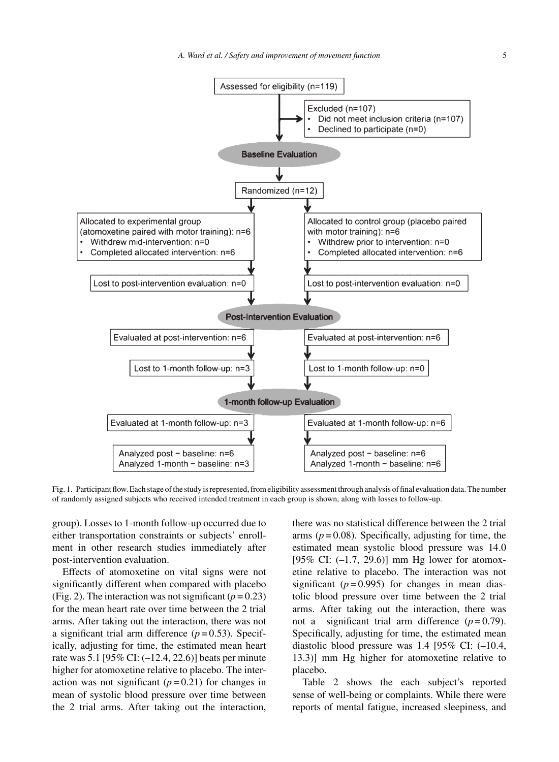*A. Ward et al. / Safety and improvement of movement function* 5



Fig. 1. Participant flow. Each stage of the study is represented, from eligibility assessment through analysis of final evaluation data. The number of randomly assigned subjects who received intended treatment in each group is shown, along with losses to follow-up.

group). Losses to 1-month follow-up occurred due to either transportation constraints or subjects' enrollment in other research studies immediately after post-intervention evaluation.

Effects of atomoxetine on vital signs were not significantly different when compared with placebo (Fig. 2). The interaction was not significant  $(p=0.23)$ ) for the mean heart rate over time between the 2 trial arms. After taking out the interaction, there was not a significant trial arm difference  $(p=0.53)$ . Specifically, adjusting for time, the estimated mean heart rate was 5.1 [95% CI: (–12.4, 22.6)] beats per minute higher for atomoxetine relative to placebo. The interaction was not significant  $(p=0.21)$  for changes in mean of systolic blood pressure over time between the 2 trial arms. After taking out the interaction,

there was no statistical difference between the 2 trial arms  $(p=0.08)$ . Specifically, adjusting for time, the estimated mean systolic blood pressure was 14.0 [95% CI: (-1.7, 29.6)] mm Hg lower for atomoxetine relative to placebo. The interaction was not significant  $(p=0.995)$  for changes in mean diastolic blood pressure over time between the 2 trial arms. After taking out the interaction, there was not a significant trial arm difference  $(p=0.79)$ . Specifically, adjusting for time, the estimated mean diastolic blood pressure was 1.4 [95% CI: (–10.4, 13.3)] mm Hg higher for atomoxetine relative to placebo.

Table 2 shows the each subject's reported sense of well-being or complaints. While there were reports of mental fatigue, increased sleepiness, and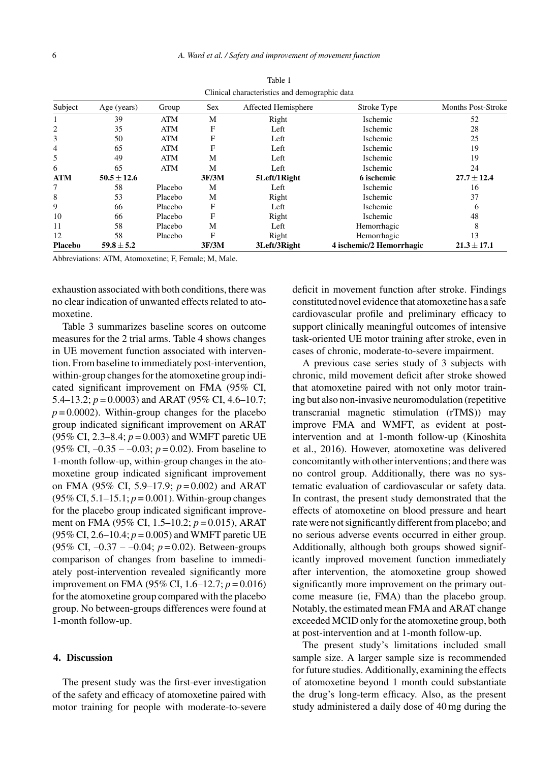| Subject        | Age (years)     | Group      | <b>Sex</b> | Affected Hemisphere | Stroke Type              | <b>Months Post-Stroke</b> |
|----------------|-----------------|------------|------------|---------------------|--------------------------|---------------------------|
|                | 39              | <b>ATM</b> | M          | Right               | <b>Ischemic</b>          | 52                        |
| $\overline{2}$ | 35              | <b>ATM</b> | F          | Left                | <b>Ischemic</b>          | 28                        |
| 3              | 50              | <b>ATM</b> | F          | Left                | <b>Ischemic</b>          | 25                        |
| $\overline{4}$ | 65              | <b>ATM</b> | F          | Left                | <b>Ischemic</b>          | 19                        |
| 5              | 49              | <b>ATM</b> | M          | Left                | <b>Ischemic</b>          | 19                        |
| 6              | 65              | <b>ATM</b> | M          | Left                | <b>Ischemic</b>          | 24                        |
| <b>ATM</b>     | $50.5 \pm 12.6$ |            | 3F/3M      | 5Left/1Right        | 6 ischemic               | $27.7 + 12.4$             |
| 7              | 58              | Placebo    | M          | Left                | Ischemic                 | 16                        |
| 8              | 53              | Placebo    | M          | Right               | <b>Ischemic</b>          | 37                        |
| 9              | 66              | Placebo    | F          | Left                | <b>Ischemic</b>          | 6                         |
| 10             | 66              | Placebo    | F          | Right               | <b>Ischemic</b>          | 48                        |
| 11             | 58              | Placebo    | M          | Left                | Hemorrhagic              | 8                         |
| 12             | 58              | Placebo    | F          | Right               | Hemorrhagic              | 13                        |
| <b>Placebo</b> | $59.8 \pm 5.2$  |            | 3F/3M      | 3Left/3Right        | 4 ischemic/2 Hemorrhagic | $21.3 \pm 17.1$           |

Table 1 Clinical characteristics and demographic data

Abbreviations: ATM, Atomoxetine; F, Female; M, Male.

exhaustion associated with both conditions, there was no clear indication of unwanted effects related to atomoxetine.

Table 3 summarizes baseline scores on outcome measures for the 2 trial arms. Table 4 shows changes in UE movement function associated with intervention. From baseline to immediately post-intervention, within-group changes for the atomoxetine group indicated significant improvement on FMA (95% CI, 5.4–13.2;  $p = 0.0003$ ) and ARAT (95% CI, 4.6–10.7;  $p = 0.0002$ ). Within-group changes for the placebo group indicated significant improvement on ARAT (95% CI, 2.3–8.4; *p* = 0.003) and WMFT paretic UE (95% CI,  $-0.35 - -0.03$ ;  $p = 0.02$ ). From baseline to 1-month follow-up, within-group changes in the atomoxetine group indicated significant improvement on FMA (95% CI, 5.9–17.9; *p* = 0.002) and ARAT (95% CI, 5.1–15.1; *p* = 0.001). Within-group changes for the placebo group indicated significant improvement on FMA (95% CI, 1.5–10.2; *p* = 0.015), ARAT (95% CI, 2.6–10.4; *p* = 0.005) and WMFT paretic UE (95% CI, –0.37 – –0.04; *p* = 0.02). Between-groups comparison of changes from baseline to immediately post-intervention revealed significantly more improvement on FMA (95% CI, 1.6–12.7; *p* = 0.016) for the atomoxetine group compared with the placebo group. No between-groups differences were found at 1-month follow-up.

#### **4. Discussion**

The present study was the first-ever investigation of the safety and efficacy of atomoxetine paired with motor training for people with moderate-to-severe deficit in movement function after stroke. Findings constituted novel evidence that atomoxetine has a safe cardiovascular profile and preliminary efficacy to support clinically meaningful outcomes of intensive task-oriented UE motor training after stroke, even in cases of chronic, moderate-to-severe impairment.

A previous case series study of 3 subjects with chronic, mild movement deficit after stroke showed that atomoxetine paired with not only motor training but also non-invasive neuromodulation (repetitive transcranial magnetic stimulation (rTMS)) may improve FMA and WMFT, as evident at postintervention and at 1-month follow-up (Kinoshita et al., 2016). However, atomoxetine was delivered concomitantly with other interventions; and there was no control group. Additionally, there was no systematic evaluation of cardiovascular or safety data. In contrast, the present study demonstrated that the effects of atomoxetine on blood pressure and heart rate were not significantly different from placebo; and no serious adverse events occurred in either group. Additionally, although both groups showed significantly improved movement function immediately after intervention, the atomoxetine group showed significantly more improvement on the primary outcome measure (ie, FMA) than the placebo group. Notably, the estimated mean FMA and ARAT change exceeded MCID only for the atomoxetine group, both at post-intervention and at 1-month follow-up.

The present study's limitations included small sample size. A larger sample size is recommended for future studies. Additionally, examining the effects of atomoxetine beyond 1 month could substantiate the drug's long-term efficacy. Also, as the present study administered a daily dose of 40 mg during the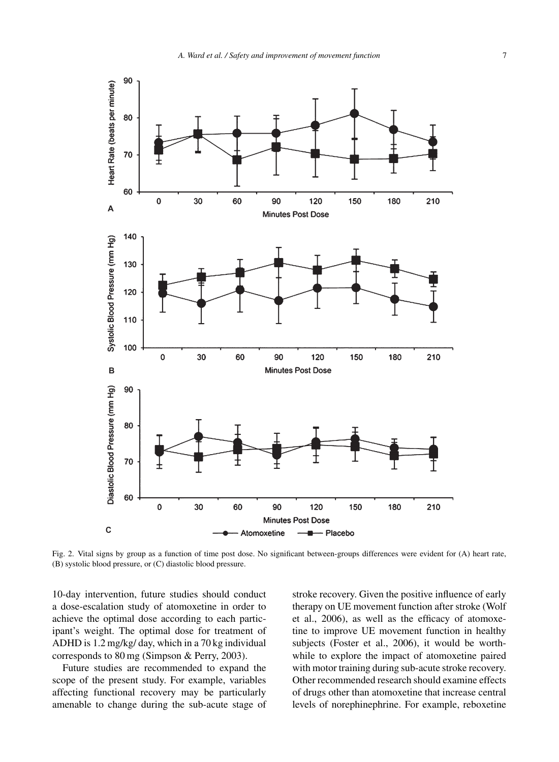

Fig. 2. Vital signs by group as a function of time post dose. No significant between-groups differences were evident for (A) heart rate, (B) systolic blood pressure, or (C) diastolic blood pressure.

10-day intervention, future studies should conduct a dose-escalation study of atomoxetine in order to achieve the optimal dose according to each participant's weight. The optimal dose for treatment of ADHD is 1.2 mg/kg/ day, which in a 70 kg individual corresponds to 80 mg (Simpson & Perry, 2003).

Future studies are recommended to expand the scope of the present study. For example, variables affecting functional recovery may be particularly amenable to change during the sub-acute stage of stroke recovery. Given the positive influence of early therapy on UE movement function after stroke (Wolf et al., 2006), as well as the efficacy of atomoxetine to improve UE movement function in healthy subjects (Foster et al., 2006), it would be worthwhile to explore the impact of atomoxetine paired with motor training during sub-acute stroke recovery. Other recommended research should examine effects of drugs other than atomoxetine that increase central levels of norephinephrine. For example, reboxetine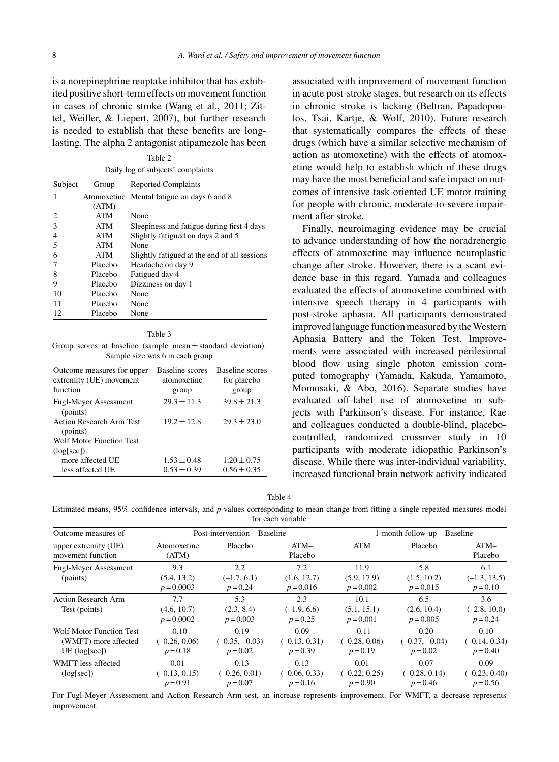is a norepinephrine reuptake inhibitor that has exhibited positive short-term effects on movement function in cases of chronic stroke (Wang et al., 2011; Zittel, Weiller, & Liepert, 2007), but further research is needed to establish that these benefits are longlasting. The alpha 2 antagonist atipamezole has been

Table 2 Daily log of subjects' complaints

| Subject | Group      | <b>Reported Complaints</b>                   |  |  |
|---------|------------|----------------------------------------------|--|--|
|         |            | Atomoxetine Mental fatigue on days 6 and 8   |  |  |
|         | (ATM)      |                                              |  |  |
| 2       | <b>ATM</b> | None                                         |  |  |
| 3       | <b>ATM</b> | Sleepiness and fatigue during first 4 days   |  |  |
| 4       | ATM        | Slightly fatigued on days 2 and 5            |  |  |
| 5       | <b>ATM</b> | None                                         |  |  |
| 6       | ATM        | Slightly fatigued at the end of all sessions |  |  |
| 7       | Placebo    | Headache on day 9                            |  |  |
| 8       | Placebo    | Fatigued day 4                               |  |  |
| 9       | Placebo    | Dizziness on day 1                           |  |  |
| 10      | Placebo    | None                                         |  |  |
| 11      | Placebo    | None                                         |  |  |
| 12      | Placebo    | None                                         |  |  |

Table 3

Group scores at baseline (sample mean  $\pm$  standard deviation). Sample size was 6 in each group

| Outcome measures for upper<br>extremity (UE) movement<br>function | Baseline scores<br>atomoxetine | Baseline scores<br>for placebo |
|-------------------------------------------------------------------|--------------------------------|--------------------------------|
|                                                                   | group                          | group                          |
| <b>Fugl-Meyer Assessment</b><br>(points)                          | $29.3 \pm 11.3$                | $39.8 \pm 21.3$                |
| <b>Action Research Arm Test</b><br>(points)                       | $19.2 \pm 12.8$                | $29.3 + 23.0$                  |
| <b>Wolf Motor Function Test</b>                                   |                                |                                |
| $(log[sec])$ :                                                    |                                |                                |
| more affected UE                                                  | $1.53 \pm 0.48$                | $1.20 \pm 0.75$                |
| less affected UE                                                  | $0.53 \pm 0.39$                | $0.56 \pm 0.35$                |

associated with improvement of movement function in acute post-stroke stages, but research on its effects in chronic stroke is lacking (Beltran, Papadopoulos, Tsai, Kartje, & Wolf, 2010). Future research that systematically compares the effects of these drugs (which have a similar selective mechanism of action as atomoxetine) with the effects of atomoxetine would help to establish which of these drugs may have the most beneficial and safe impact on outcomes of intensive task-oriented UE motor training for people with chronic, moderate-to-severe impairment after stroke.

Finally, neuroimaging evidence may be crucial to advance understanding of how the noradrenergic effects of atomoxetine may influence neuroplastic change after stroke. However, there is a scant evidence base in this regard. Yamada and colleagues evaluated the effects of atomoxetine combined with intensive speech therapy in 4 participants with post-stroke aphasia. All participants demonstrated improved language function measured by the Western Aphasia Battery and the Token Test. Improvements were associated with increased perilesional blood flow using single photon emission computed tomography (Yamada, Kakuda, Yamamoto, Momosaki, & Abo, 2016). Separate studies have evaluated off-label use of atomoxetine in subjects with Parkinson's disease. For instance, Rae and colleagues conducted a double-blind, placebocontrolled, randomized crossover study in 10 participants with moderate idiopathic Parkinson's disease. While there was inter-individual variability, increased functional brain network activity indicated

|--|--|

Estimated means, 95% confidence intervals, and *p*-values corresponding to mean change from fitting a single repeated measures model for each variable

| Outcome measures of                                                        |                                          | Post-intervention – Baseline              |                                       | 1-month follow-up – Baseline             |                                           |                                       |
|----------------------------------------------------------------------------|------------------------------------------|-------------------------------------------|---------------------------------------|------------------------------------------|-------------------------------------------|---------------------------------------|
| upper extremity (UE)<br>movement function                                  | Atomoxetine<br>(ATM)                     | Placebo                                   | $ATM-$<br>Placebo                     | ATM                                      | Placebo                                   | $ATM-$<br>Placebo                     |
| <b>Fugl-Meyer Assessment</b><br>(points)                                   | 9.3<br>(5.4, 13.2)<br>$p = 0.0003$       | 2.2<br>$(-1.7, 6.1)$<br>$p = 0.24$        | 7.2<br>(1.6, 12.7)<br>$p = 0.016$     | 11.9<br>(5.9, 17.9)<br>$p = 0.002$       | 5.8<br>(1.5, 10.2)<br>$p = 0.015$         | 6.1<br>$(-1.3, 13.5)$<br>$p = 0.10$   |
| <b>Action Research Arm</b><br>Test (points)                                | 7.7<br>(4.6, 10.7)<br>$p = 0.0002$       | 5.3<br>(2.3, 8.4)<br>$p = 0.003$          | 2.3<br>$(-1.9, 6.6)$<br>$p = 0.25$    | 10.1<br>(5.1, 15.1)<br>$p = 0.001$       | 6.5<br>(2.6, 10.4)<br>$p = 0.005$         | 3.6<br>$(-2.8, 10.0)$<br>$p = 0.24$   |
| <b>Wolf Motor Function Test</b><br>(WMFT) more affected<br>$UE$ (log[sec]) | $-0.10$<br>$(-0.26, 0.06)$<br>$p = 0.18$ | $-0.19$<br>$(-0.35, -0.03)$<br>$p = 0.02$ | 0.09<br>$(-0.13, 0.31)$<br>$p = 0.39$ | $-0.11$<br>$(-0.28, 0.06)$<br>$p = 0.19$ | $-0.20$<br>$(-0.37, -0.04)$<br>$p = 0.02$ | 0.10<br>$(-0.14, 0.34)$<br>$p = 0.40$ |
| WMFT less affected<br>(log[sec])                                           | 0.01<br>$(-0.13, 0.15)$<br>$p = 0.91$    | $-0.13$<br>$(-0.26, 0.01)$<br>$p = 0.07$  | 0.13<br>$(-0.06, 0.33)$<br>$p = 0.16$ | 0.01<br>$(-0.22, 0.25)$<br>$p = 0.90$    | $-0.07$<br>$(-0.28, 0.14)$<br>$p = 0.46$  | 0.09<br>$(-0.23, 0.40)$<br>$p = 0.56$ |

For Fugl-Meyer Assessment and Action Research Arm test, an increase represents improvement. For WMFT, a decrease represents improvement.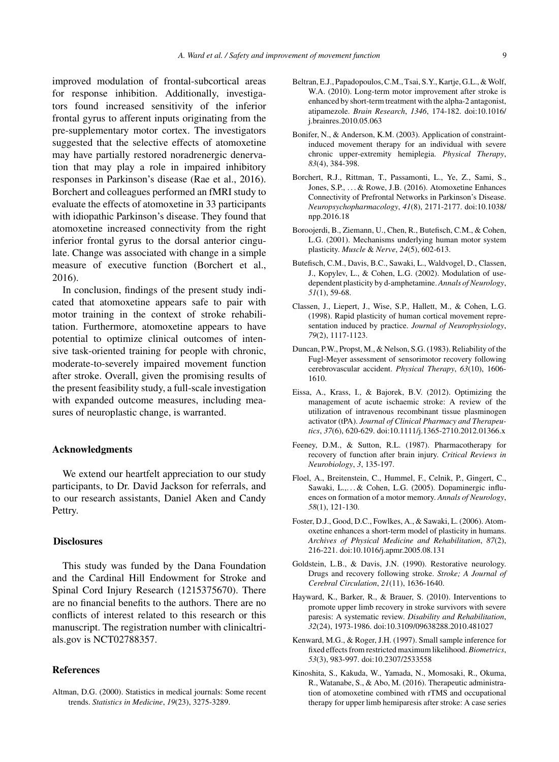improved modulation of frontal-subcortical areas for response inhibition. Additionally, investigators found increased sensitivity of the inferior frontal gyrus to afferent inputs originating from the pre-supplementary motor cortex. The investigators suggested that the selective effects of atomoxetine may have partially restored noradrenergic denervation that may play a role in impaired inhibitory responses in Parkinson's disease (Rae et al., 2016). Borchert and colleagues performed an fMRI study to evaluate the effects of atomoxetine in 33 participants with idiopathic Parkinson's disease. They found that atomoxetine increased connectivity from the right inferior frontal gyrus to the dorsal anterior cingulate. Change was associated with change in a simple measure of executive function (Borchert et al., 2016).

In conclusion, findings of the present study indicated that atomoxetine appears safe to pair with motor training in the context of stroke rehabilitation. Furthermore, atomoxetine appears to have potential to optimize clinical outcomes of intensive task-oriented training for people with chronic, moderate-to-severely impaired movement function after stroke. Overall, given the promising results of the present feasibility study, a full-scale investigation with expanded outcome measures, including measures of neuroplastic change, is warranted.

#### **Acknowledgments**

We extend our heartfelt appreciation to our study participants, to Dr. David Jackson for referrals, and to our research assistants, Daniel Aken and Candy Pettry.

#### **Disclosures**

This study was funded by the Dana Foundation and the Cardinal Hill Endowment for Stroke and Spinal Cord Injury Research (1215375670). There are no financial benefits to the authors. There are no conflicts of interest related to this research or this manuscript. The registration number with clinicaltrials.gov is NCT02788357.

#### **References**

Altman, D.G. (2000). Statistics in medical journals: Some recent trends. *Statistics in Medicine*, *19*(23), 3275-3289.

- Beltran, E.J., Papadopoulos, C.M., Tsai, S.Y., Kartje, G.L., & Wolf, W.A. (2010). Long-term motor improvement after stroke is enhanced by short-term treatment with the alpha-2 antagonist, atipamezole. *Brain Research*, *1346*, 174-182. doi:10.1016/ j.brainres.2010.05.063
- Bonifer, N., & Anderson, K.M. (2003). Application of constraintinduced movement therapy for an individual with severe chronic upper-extremity hemiplegia. *Physical Therapy*, *83*(4), 384-398.
- Borchert, R.J., Rittman, T., Passamonti, L., Ye, Z., Sami, S., Jones, S.P., . . . & Rowe, J.B. (2016). Atomoxetine Enhances Connectivity of Prefrontal Networks in Parkinson's Disease. *Neuropsychopharmacology*, *41*(8), 2171-2177. doi:10.1038/ npp.2016.18
- Boroojerdi, B., Ziemann, U., Chen, R., Butefisch, C.M., & Cohen, L.G. (2001). Mechanisms underlying human motor system plasticity. *Muscle* & *Nerve*, *24*(5), 602-613.
- Butefisch, C.M., Davis, B.C., Sawaki, L., Waldvogel, D., Classen, J., Kopylev, L., & Cohen, L.G. (2002). Modulation of usedependent plasticity by d-amphetamine. *Annals of Neurology*, *51*(1), 59-68.
- Classen, J., Liepert, J., Wise, S.P., Hallett, M., & Cohen, L.G. (1998). Rapid plasticity of human cortical movement representation induced by practice. *Journal of Neurophysiology*, *79*(2), 1117-1123.
- Duncan, P.W., Propst, M., & Nelson, S.G. (1983). Reliability of the Fugl-Meyer assessment of sensorimotor recovery following cerebrovascular accident. *Physical Therapy*, *63*(10), 1606- 1610.
- Eissa, A., Krass, I., & Bajorek, B.V. (2012). Optimizing the management of acute ischaemic stroke: A review of the utilization of intravenous recombinant tissue plasminogen activator (tPA). *Journal of Clinical Pharmacy and Therapeutics*, *37*(6), 620-629. doi:10.1111/j.1365-2710.2012.01366.x
- Feeney, D.M., & Sutton, R.L. (1987). Pharmacotherapy for recovery of function after brain injury. *Critical Reviews in Neurobiology*, *3*, 135-197.
- Floel, A., Breitenstein, C., Hummel, F., Celnik, P., Gingert, C., Sawaki, L.,...& Cohen, L.G. (2005). Dopaminergic influences on formation of a motor memory. *Annals of Neurology*, *58*(1), 121-130.
- Foster, D.J., Good, D.C., Fowlkes, A., & Sawaki, L. (2006). Atomoxetine enhances a short-term model of plasticity in humans. *Archives of Physical Medicine and Rehabilitation*, *87*(2), 216-221. doi:10.1016/j.apmr.2005.08.131
- Goldstein, L.B., & Davis, J.N. (1990). Restorative neurology. Drugs and recovery following stroke. *Stroke; A Journal of Cerebral Circulation*, *21*(11), 1636-1640.
- Hayward, K., Barker, R., & Brauer, S. (2010). Interventions to promote upper limb recovery in stroke survivors with severe paresis: A systematic review. *Disability and Rehabilitation*, *32*(24), 1973-1986. doi:10.3109/09638288.2010.481027
- Kenward, M.G., & Roger, J.H. (1997). Small sample inference for fixed effects from restricted maximum likelihood. *Biometrics*, *53*(3), 983-997. doi:10.2307/2533558
- Kinoshita, S., Kakuda, W., Yamada, N., Momosaki, R., Okuma, R., Watanabe, S., & Abo, M. (2016). Therapeutic administration of atomoxetine combined with rTMS and occupational therapy for upper limb hemiparesis after stroke: A case series